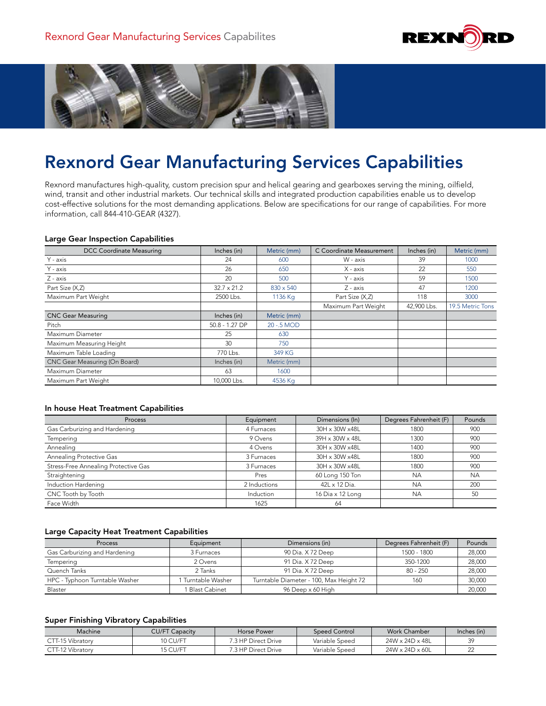



# Rexnord Gear Manufacturing Services Capabilities

Rexnord manufactures high-quality, custom precision spur and helical gearing and gearboxes serving the mining, oilfield, wind, transit and other industrial markets. Our technical skills and integrated production capabilities enable us to develop cost-effective solutions for the most demanding applications. Below are specifications for our range of capabilities. For more information, call 844-410-GEAR (4327).

#### Large Gear Inspection Capabilities

| <b>DCC Coordinate Measuring</b> | Inches (in)        | Metric (mm)      | C Coordinate Measurement | Inches (in) | Metric (mm)      |
|---------------------------------|--------------------|------------------|--------------------------|-------------|------------------|
| Y - axis                        | 24                 | 600              | W - axis                 | 39          | 1000             |
| Y - axis                        | 26                 | 650              | X - axis                 | 22          | 550              |
| Z - axis                        | 20                 | 500              | Y - axis                 | 59          | 1500             |
| Part Size (X,Z)                 | $32.7 \times 21.2$ | $830 \times 540$ | Z - axis                 | 47          | 1200             |
| Maximum Part Weight             | 2500 Lbs.          | 1136 Kg          | Part Size (X,Z)          | 118         | 3000             |
|                                 |                    |                  | Maximum Part Weight      | 42,900 Lbs. | 19.5 Metric Tons |
| <b>CNC Gear Measuring</b>       | Inches (in)        | Metric (mm)      |                          |             |                  |
| Pitch                           | $50.8 - 1.27$ DP   | 20 - 5 MOD       |                          |             |                  |
| Maximum Diameter                | 25                 | 630              |                          |             |                  |
| Maximum Measuring Height        | 30                 | 750              |                          |             |                  |
| Maximum Table Loading           | 770 Lbs.           | 349 KG           |                          |             |                  |
| CNC Gear Measuring (On Board)   | Inches (in)        | Metric (mm)      |                          |             |                  |
| Maximum Diameter                | 63                 | 1600             |                          |             |                  |
| Maximum Part Weight             | 10,000 Lbs.        | 4536 Kg          |                          |             |                  |

#### In house Heat Treatment Capabilities

| Process                              | Equipment    | Dimensions (In)  | Degrees Fahrenheit (F) | Pounds    |
|--------------------------------------|--------------|------------------|------------------------|-----------|
| Gas Carburizing and Hardening        | 4 Furnaces   | 30H x 30W x48L   | 1800                   | 900       |
| Tempering                            | 9 Ovens      | 39H x 30W x 48L  | 1300                   | 900       |
| Annealing                            | 4 Ovens      | 30H x 30W x48L   | 1400                   | 900       |
| Annealing Protective Gas             | 3 Furnaces   | 30H x 30W x48L   | 1800                   | 900       |
| Stress-Free Annealing Protective Gas | 3 Furnaces   | 30H x 30W x48L   | 1800                   | 900       |
| Straightening                        | Pres         | 60 Long 150 Ton  | <b>NA</b>              | <b>NA</b> |
| Induction Hardening                  | 2 Inductions | 42L x 12 Dia.    | <b>NA</b>              | 200       |
| CNC Tooth by Tooth                   | Induction    | 16 Dia x 12 Long | <b>NA</b>              | 50        |
| Face Width                           | 1625         | 64               |                        |           |

#### Large Capacity Heat Treatment Capabilities

| <b>Process</b>                 | Equipment        | Dimensions (in)                         | Degrees Fahrenheit (F) | Pounds |
|--------------------------------|------------------|-----------------------------------------|------------------------|--------|
| Gas Carburizing and Hardening  | 3 Furnaces       | 90 Dia, X 72 Deep                       | 1500 - 1800            | 28,000 |
| Tempering                      | 2 Ovens          | 91 Dia, X72 Deep                        | 350-1200               | 28,000 |
| Quench Tanks                   | 2 Tanks          | 91 Dia, X72 Deep                        | $80 - 250$             | 28,000 |
| HPC - Typhoon Turntable Washer | Turntable Washer | Turntable Diameter - 100, Max Height 72 | 160                    | 30,000 |
| Blaster                        | i Blast Cabinet  | 96 Deep x 60 High                       |                        | 20,000 |

### Super Finishing Vibratory Capabilities

| Machine          | <b>CU/FT Capacity</b> | Horse Power         | Speed Control  | Work Chamber                | Inches (in) |
|------------------|-----------------------|---------------------|----------------|-----------------------------|-------------|
| CTT-15 Vibratory | 10 CU/FT              | 7.3 HP Direct Drive | Variable Speed | 24W x 24D x 48L             | 39          |
| CTT-12 Vibratory | 15 CU/FT              | 7.3 HP Direct Drive | Variable Speed | $24W \times 24D \times 60L$ |             |